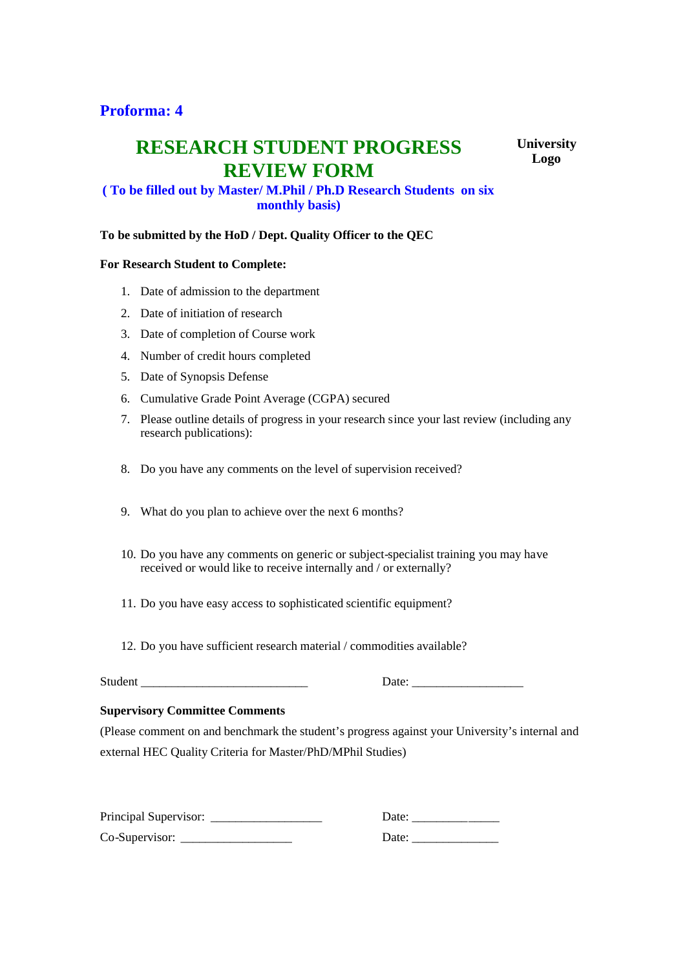## **Proforma: 4**

# **RESEARCH STUDENT PROGRESS REVIEW FORM**

**University Logo**

### **( To be filled out by Master/ M.Phil / Ph.D Research Students on six monthly basis)**

#### **To be submitted by the HoD / Dept. Quality Officer to the QEC**

#### **For Research Student to Complete:**

- 1. Date of admission to the department
- 2. Date of initiation of research
- 3. Date of completion of Course work
- 4. Number of credit hours completed
- 5. Date of Synopsis Defense
- 6. Cumulative Grade Point Average (CGPA) secured
- 7. Please outline details of progress in your research since your last review (including any research publications):
- 8. Do you have any comments on the level of supervision received?
- 9. What do you plan to achieve over the next 6 months?
- 10. Do you have any comments on generic or subject-specialist training you may have received or would like to receive internally and / or externally?
- 11. Do you have easy access to sophisticated scientific equipment?
- 12. Do you have sufficient research material / commodities available?

Student \_\_\_\_\_\_\_\_\_\_\_\_\_\_\_\_\_\_\_\_\_\_\_\_\_\_\_ Date: \_\_\_\_\_\_\_\_\_\_\_\_\_\_\_\_\_\_

#### **Supervisory Committee Comments**

(Please comment on and benchmark the student's progress against your University's internal and external HEC Quality Criteria for Master/PhD/MPhil Studies)

| Principal Supervisor: | Date <sup>-</sup> |
|-----------------------|-------------------|
| Co-Supervisor:        | Date:             |